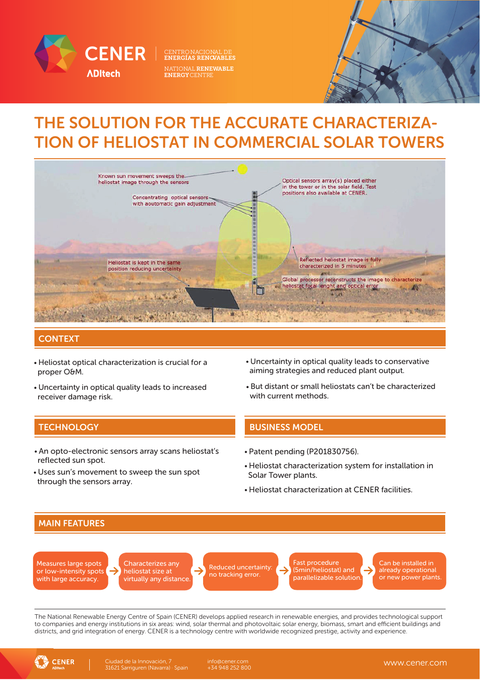

**ENERGÍAS RENOVABLES<br>NATIONAL RENEWABLE** NATIONAL RENEWABLE ENERGYCENTRE

# THE SOLUTION FOR THE ACCURATE CHARACTERIZA-TION OF HELIOSTAT IN COMMERCIAL SOLAR TOWERS



### **CONTEXT**

- Heliostat optical characterization is crucial for a proper O&M.
- Uncertainty in optical quality leads to increased receiver damage risk.
- But distant or small heliostats can't be characterized Uncertainty in optical quality leads to conservative aiming strategies and reduced plant output.

### **TECHNOLOGY BUSINESS MODEL**

- An opto-electronic sensors array scans heliostat's reflected sun spot.
- Uses sun's movement to sweep the sun spot through the sensors array.
- Patent pending (P201830756).

with current methods.

- Heliostat characterization system for installation in Solar Tower plants.
- Heliostat characterization at CENER facilities.



Measures large spots or low-intensity spots with large accuracy.

Characterizes any heliostat size at virtually any distance. Reduced uncertainty: no tracking error.

Fast procedure (5min/heliostat) and parallelizable solution.

Can be installed in already operational or new power plants.

The National Renewable Energy Centre of Spain (CENER) develops applied research in renewable energies, and provides technological support to companies and energy institutions in six areas: wind, solar thermal and photovoltaic solar energy, biomass, smart and efficient buildings and districts, and grid integration of energy. CENER is a technology centre with worldwide recognized prestige, activity and experience.



+34 948 252 800